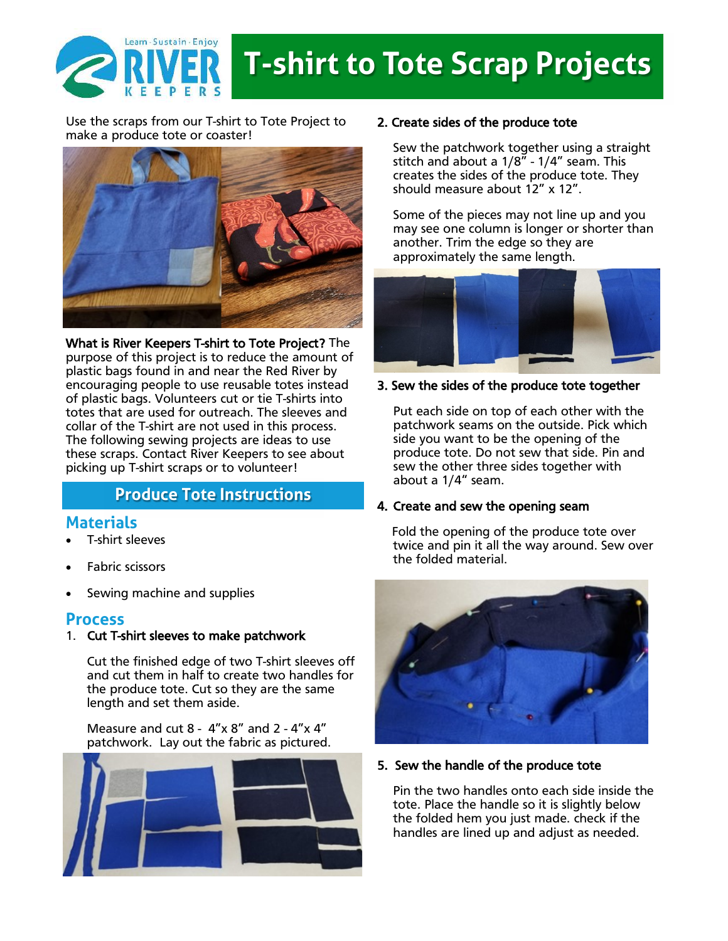

# **T-shirt to Tote Scrap Projects**

Use the scraps from our T-shirt to Tote Project to make a produce tote or coaster!



What is River Keepers T-shirt to Tote Project? The purpose of this project is to reduce the amount of plastic bags found in and near the Red River by encouraging people to use reusable totes instead of plastic bags. Volunteers cut or tie T-shirts into totes that are used for outreach. The sleeves and collar of the T-shirt are not used in this process. The following sewing projects are ideas to use these scraps. Contact River Keepers to see about picking up T-shirt scraps or to volunteer!

## **Produce Tote Instructions**

## **Materials**

- T-shirt sleeves
- Fabric scissors
- Sewing machine and supplies

### **Process**

#### 1. Cut T-shirt sleeves to make patchwork

Cut the finished edge of two T-shirt sleeves off and cut them in half to create two handles for the produce tote. Cut so they are the same length and set them aside.

Measure and cut 8 -  $4''x8''$  and 2 -  $4''x4''$ patchwork. Lay out the fabric as pictured.



#### 2. Create sides of the produce tote

Sew the patchwork together using a straight stitch and about a 1/8" - 1/4" seam. This creates the sides of the produce tote. They should measure about 12" x 12".

Some of the pieces may not line up and you may see one column is longer or shorter than another. Trim the edge so they are approximately the same length.



#### 3. Sew the sides of the produce tote together

 Put each side on top of each other with the patchwork seams on the outside. Pick which side you want to be the opening of the produce tote. Do not sew that side. Pin and sew the other three sides together with about a 1/4" seam.

#### 4. Create and sew the opening seam

 Fold the opening of the produce tote over twice and pin it all the way around. Sew over the folded material.



#### 5. Sew the handle of the produce tote

Pin the two handles onto each side inside the tote. Place the handle so it is slightly below the folded hem you just made. check if the handles are lined up and adjust as needed.